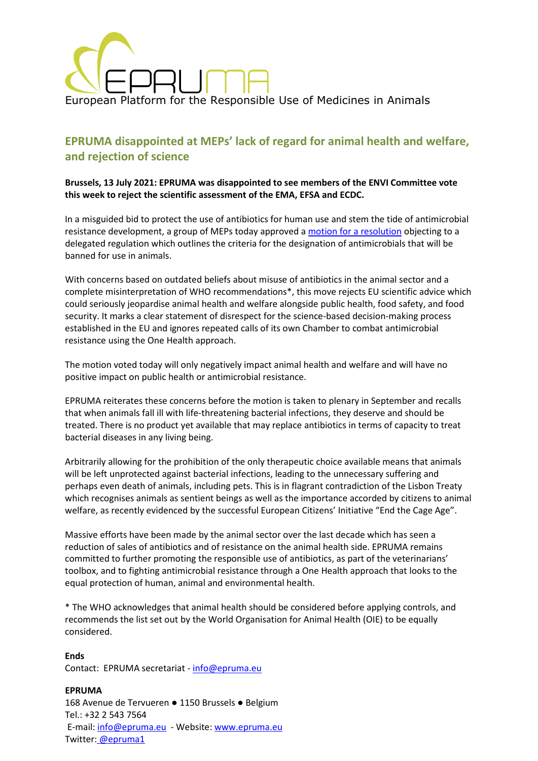

# **EPRUMA disappointed at MEPs' lack of regard for animal health and welfare, and rejection of science**

# **Brussels, 13 July 2021: EPRUMA was disappointed to see members of the ENVI Committee vote this week to reject the scientific assessment of the EMA, EFSA and ECDC.**

In a misguided bid to protect the use of antibiotics for human use and stem the tide of antimicrobial resistance development, a group of MEPs today approved a [motion for a resolution](https://martin-haeusling.eu/images/210706_Draft_resolution_-_Objection_DA_on_antimicrobials_2021.pdf) objecting to a delegated regulation which outlines the criteria for the designation of antimicrobials that will be banned for use in animals.

With concerns based on outdated beliefs about misuse of antibiotics in the animal sector and a complete misinterpretation of WHO recommendations\*, this move rejects EU scientific advice which could seriously jeopardise animal health and welfare alongside public health, food safety, and food security. It marks a clear statement of disrespect for the science-based decision-making process established in the EU and ignores repeated calls of its own Chamber to combat antimicrobial resistance using the One Health approach.

The motion voted today will only negatively impact animal health and welfare and will have no positive impact on public health or antimicrobial resistance.

EPRUMA reiterates these concerns before the motion is taken to plenary in September and recalls that when animals fall ill with life-threatening bacterial infections, they deserve and should be treated. There is no product yet available that may replace antibiotics in terms of capacity to treat bacterial diseases in any living being.

Arbitrarily allowing for the prohibition of the only therapeutic choice available means that animals will be left unprotected against bacterial infections, leading to the unnecessary suffering and perhaps even death of animals, including pets. This is in flagrant contradiction of the Lisbon Treaty which recognises animals as sentient beings as well as the importance accorded by citizens to animal welfare, as recently evidenced by the successful European Citizens' Initiative "End the Cage Age".

Massive efforts have been made by the animal sector over the last decade which has seen a reduction of sales of antibiotics and of resistance on the animal health side. EPRUMA remains committed to further promoting the responsible use of antibiotics, as part of the veterinarians' toolbox, and to fighting antimicrobial resistance through a One Health approach that looks to the equal protection of human, animal and environmental health.

\* The WHO acknowledges that animal health should be considered before applying controls, and recommends the list set out by the World Organisation for Animal Health (OIE) to be equally considered.

**Ends** Contact: EPRUMA secretariat - [info@epruma.eu](mailto:info@epruma.eu)

**EPRUMA** 168 Avenue de Tervueren ● 1150 Brussels ● Belgium Tel.: +32 2 543 7564 E-mail: [info@epruma.eu](mailto:info@epruma.eu) - Website: [www.epruma.eu](http://www.epruma.eu/) Twitter: [@epruma1](https://twitter.com/epruma1)